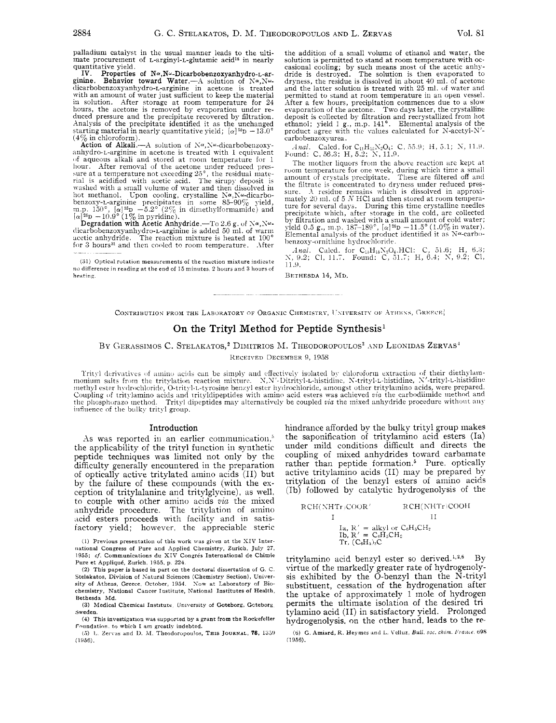palladium catalyst in the usual manner leads to the ultimate procurement of L-arginyl-L-glutamic acid's in nearly quantitative yield.

IV. Properties of  $N^{\alpha}$ , Nw-Dicarbobenzoxyanhydro-L-arginine. Behavior toward Water.—A solution of  $N^{\alpha}$ , Nw-<br>dicarbobenzoxyanhydro-L-arginine in acetone is treated with an amount of water just sufficient to keep the material in solution. After storage at room temperature for 24 hours, the acetone is removed by evaporation under rehours, the acetone is removed by evaporation under re- duced pressure and the precipitate recovered by filtration. Analysis of the precipitate identified it as the unchange! starting material in nearly quantitative yield;  $[\alpha]^{25}D - 13.0^{\circ}$ **(4%** in chloroform).

**Action of Alkali.**—A solution of  $N^{\alpha}$ ,  $N^{\omega}$ -dicarbobenzoxy-<br>anhydro-L-arginine in acetone is treated with 1 equivalent of aqueous alkali and stored at room temperature for 1 hour. After removal of the acetone under reduced presfor a temperature in a technical and stored at room temperature for 1<br>in the residual material of the acetone under reduced pres-<br>sure at a temperature not exceeding  $25^\circ$ , the residual mate-<br>rial is acidified with aceti sure at a temperature not exceeding  $25^{\circ}$ , the residual mate-<br>rial is acidified with acetic acid. The sirupy deposit is washed with a small volume of water and then dissolved in hot methanol. Upon cooling, crystalline N $\alpha$ , N $\omega$ -dicarbobenzoxy-L-arginine precipitates in some 85–90% yield, m.p. 150°,  $[\alpha]^{25}D = 5.2^{\circ}$  (2% in dimethylformamide) and  $[\alpha]^{25}{\rm D} - 10.9\degree$  (1% in pyridine).<br>Degradation with Acetic Anhydride.—To 2.6 g. of Na,N

tlicarbobenzoxyanliydro-L-arginine is added 50 ml. of warm acetic anhydride. The reaction mixture is heated at 100' for 3 hours<sup>31</sup> and then cooled to room temperature. After

(31) Optical rutation measurements of the reaction mixture indicate **<sup>110</sup>**difference in reading at the end of 15 minutes. *2* hours and **3** hours of heating.

the addition of a small volume of ethanol and water, the solution is permitted to stand at room temperature with ocsolution is permitted to stand at room temperature with oc- casional cooling; by such means most of the acetic anhy-dride is destroyed. The solution is then evaporated to dryness, the residue is dissolved in about **40** ml. of acetoue and the latter solution is treated with *25* ml. uf water and permitted to stand at room temperature in an open vessel. After a fen. hours, precipitation commences due to a slow evaporation of the acetone. Two days later, the crystalline deposit is collected by filtration and recrystallized from hot ethanol; yield 1 g., m.p. 141°. Elemental analysis of the product agree with the values calculated for N-acetyl-N'carbobenzoxyurea.

*Anal.* Calcd. for C<sub>11</sub>H<sub>12</sub>N<sub>2</sub>O<sub>4</sub>: C, 55.9; H, 5.1; N, 11.9. Found: C, 56.3; H, 5.2; N, 11.9.

The mother liquors from the above reaction are kept at room temperature for one week, during which time a small amount of crystals precipitate. These are filtered off and the filtrate is concentrated to dryness under reduced pres- sure. **-1** residue remains which is dissolved in approximately 20 ml. of 5 *N* HCl and then stored at room tempera-<br>ture for several days. During this time crystalline needles precipitate which, after storage in the cold, are collected<br>by filtration and washed with a small amount of cold water;<br>yield 0.5 g., m.p.  $187-189^{\circ}$ ,  $[\alpha]^{26}D -11.5^{\circ} (1.0\%$  in water).<br>Elemental analysis of the prod henzoxy-ornithine hydrochloride.

Anal. Calcd. for C<sub>13</sub>H<sub>18</sub>N<sub>2</sub>O<sub>4</sub>.HCl: C, 51.6; H, 6.3; *S,* 9.2; CI, 11.7. Found: C. 51.7; H, **G.4;** X, 9.2; CI, 11 .u.

BETHESDA **14,** MD.

CONTRIBUTION FROM THE LABORATORY OF ORGANIC CHEMISTRY, UNIVERSITY OF ATHENS, GREECE

# On the Trityl Method for Peptide Synthesis<sup>1</sup>

#### BY GERASSIMOS C. STELAKATOS,<sup>2</sup> DIMITRIOS M. THEODOROPOULOS<sup>3</sup> AND LEONIDAS ZERVAS<sup>4</sup>

**RECEIVED DECEMBER 9, 1958** 

Trityl derivatives of amino acids can be simply and effectively isolated by chloroform extraction of their diethylam-<br>monium salts from the tritylation reaction mixture. N.N'-Ditrityl-L-histidine, N-trityl-L-histidine, N'methyl ester hydrochloride, O-trityl-L-tyrosine benzyl ester hydrochloride, amongst other tritylamino acids, were prepared. Coupling of tritylamino acids and trityldipeptides with amino acid esters was achieved *via* the carbodiimide method and the phosphorazo method. Trityl dipeptides may alternatively be coupled *via* the mixed anhydride procedure without any influence of the bulky trityl group.

#### Introduction

As was reported in an earlier communication.<sup>5</sup> the applicability of the trityl function in synthetic peptide techniques was limited not only by the difficulty generally encountered in the preparation of optically active tritylated amino acids (11) but by the failure of these compounds (with the exception of tritylalanine and tritylglycine), as well, *to* couple with other amino acids *via* the mixed anhydride procedure. The tritylation of amino acid esters proceeds with facility and in satisfactory yield; however, the appreciable steric

**(1)** Previous presentation of this **work was** given at the SIV International Congress of Pure and Applied Chemistry, Zurich, **July 27,**  1955; cf. Communications du XIV Congrés International de Chimie Pure et Applique, Zurich, 1956, *p.* 224.

**(2)** This paper is based in part on the doctoral dissertation of G. C. Stelakatos, Division of Natural Sciences (Chemistry Section), University of Athens, Greece, October, 1954. Sow at Laboratory of Biochemistry, National Cancer Institute, National Institutes of Health, Bethesda **Md.** 

**(3)** Medical Chemical Institute. University of Goteborg, Gctebora Sweden.

**(4)** This investigation **was** supported by a **grant from** the Rockefeller Poundation. to **whirh** I am greatly indebted.

(5) L. Zervas and D. M. Theodoropoulos, THIS JOURNAL, 78, 1359  $(1956)$ .

hindrance afforded by the bulky trityl group makes the saponification of tritylamino acid esters (Ia) under mild conditions difficult and directs the coupling of mixed anhydrides toward carbamate rather than peptide formation.<sup>5</sup> Pure. optically active tritylamino acids (11) may be prepared by tritylation of the benzyl esters of amino acids (Ib) followed by catalytic hydrogenolysis of the

| RCH(NHTr)COOR'                                                                 | RCH(NHTr)COOH |
|--------------------------------------------------------------------------------|---------------|
|                                                                                |               |
| Ia, $R' =$ alkyl or $C_6H_6CH_2$<br>Ib. $R' = C_6H_5CH_2$<br>$Tr. (C_6H_5)_3C$ |               |

tritylamino acid benzyl ester so derived.<sup>1,2,6</sup> By virtue of the markedly greater rate of hydrogenolysis exhibited by the 0-benzyl than the N-trityl substituent, cessation of the hydrogenation after the uptake of approximately 1 mole of hydrogen permits the ultimate isolation of the desired tri tylamino acid (11) in satisfactory yield. Prolonged hydrogenolysis, **on** the other hand, leads to the re-

*(6)* G. Aminrd, K. Heymes **and** L. **Vcllur,** *BULL.* soc. *ch\$m f;rame* 69s (1956).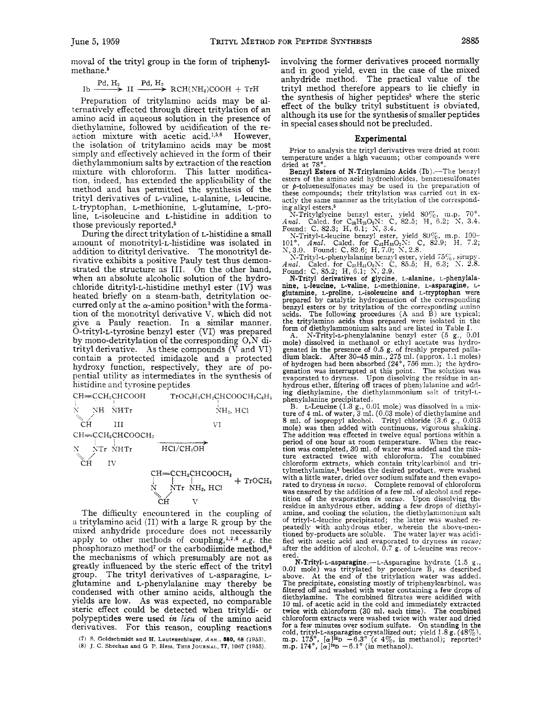moval of the trityl group in the form of triphenylmethane.<sup>5</sup>

thane.<sup>5</sup>

\n1b 
$$
\xrightarrow{Pd, H_2}
$$
 II  $\xrightarrow{Pd, H_2}$  RCH(NH<sub>2</sub>)COOH + TrH

Preparation of tritylamino acids may be alternatively effected through direct tritylation of an amino acid in aqueous solution in the presence of diethylamine, followed by acidification of the reaction mixture with acetic acid. **1,5,6** However, the isolation of tritylamino acids may be most simply and effectively achieved in the form of their diethylammonium salts by extraction of the reaction mixture with chloroform. This latter modification, indeed, has extended the applicability of the method and has permitted the synthesis of the trityl derivatives of L-valine, L-alanine, L-leucine, L-tryptophan, L-methionine, L-glutamine, L-proline, L-isoleucine and L-histidine in addition to those previously reported.<sup>5</sup>

During the direct tritylation of L-histidine a small amount of monotrityl-L-histidine was isolated in addition to ditrityl derivative. The monotrityl derivative exhibits a positive Pauly test thus demonstrated the structure as 111. On the other hand, when an absolute alcoholic solution of the hydrochloride ditrityl-L-histidine methyl ester (IV) was heated briefly on a steam-bath, detritylation occurred only at the  $\alpha$ -amino position<sup>3</sup> with the formation of the monotrityl derivative V, which did not give a Pauly reaction. In a similar manner, 0-trityl-L-tyrosine benzyl ester (VI) was prepared by mono-detritylation of the corresponding 0,N ditrityl derivative. As these compounds (V and VI) contain a protected imidazole and a protected hydroxy function, respectively, they are of popential utility as intermediates in the synthesis of histidine and tyrosine peptides



The difficulty encountered in the coupling of a tritylamino acid (11) with a large R group by the mixed anhydride procedure does not necessarily apply to other methods of coupling,<sup>1,2,6</sup> e.g. the phosphorazo method<sup>7</sup> or the carbodiimide method,<sup>8</sup> the mechanisms of which presumably are not as greatly influenced by the steric effect of the trityl group. The trityl derivatives of L-asparagine, Lglutamine and L-phenylalanine may thereby be condensed with other amino acids, although the yields are low. **As** was expected, no comparable steric effect could be detected when trityldi- or polypeptides were used *in lieu* of the amino acid derivatives. For this reason, coupling reactions

involving the former derivatives proceed normally and in good yield, even in the case of the mixed anhydride method. The practical value of the trityl method therefore appears to lie chiefly in the synthesis of higher peptides<sup>5</sup> where the steric effect of the bulky trityl substituent is obviated, although its use for the synthesis of smaller peptides in special cases should not be precluded.

### **Experimental**

Prior to analysis the trityl derivatives were dried at room temperature under a high vacuum; other compounds were dried at 78".

Benzyl Esters of N-Tritylamino Acids (Ib).-The benzyl esters of the amino acid hydrochlorides, benzenesulfonates or  $p$ -toluenesulfonates may be used in the preparation of these compounds; their tritylation was carried out in ex-

these compounds; their tritylation was carried out in ex-<br>actly the same manner as the tritylation of the correspond-<br>ing alkyl esters.<sup>5</sup><br>N-Tritylglycine benzyl ester, yield 80%, m.p. 70°.<br>Anal. Calcd. for C<sub>28</sub>H<sub>28</sub>O<sub>2</sub>

N-Trityl-L-leucine benzyl ester, yield 80%, m.p. 100-<br>101°. *Anal.* Calcd. for  $C_{32}H_{33}O_2N$ : C, 82.9; H, 7.2;<br>N, 3.0. Found: C, 82.6; H, 7.0; N, 2.8.<br>X-Trityl-L-phenylalanine benzyl ester, yield 75%, sirupy.<br>Anal. Cal

glutamine, L-proline, L-isoleucine and L-tryptophan were<br>prepared by catalytic hydrogenation of the corresponding<br>benzyl esters or by tritylation of the corresponding anino<br>acids. The following procedures (A and B) are typ

A. N-Trityl-L-phenylalanine benzyl ester (5 g., 0.01 mole) dissolved in methanol or ethyl acetate was hydrogenated in the presence of 0.5 g. of freshly prepared palla-<br>dium black. After 30–45 min., 275 ml. (approx. 1.1 moles)<br>of hydrogen had been absorbed  $(24^{\circ}, 756 \text{ mm.})$ ; the hydro-<br>genation was interrupted at this point. evaporated to dryness. Upon dissolving the residue in an- hydrous ether, filtering off traces of phenylalanine and addhydrous ether, filtering off traces of phenylalanine and adding diethylamine, the diethylammonium salt of trityl-Lphenylalanine precipitated.

B. L-Leucine (1.3 g., 0.01 mole) was dissolved in a mixture of **4** ml. of water, 3 ml. (0.03 mole) of diethylamine and 8 ml. of isopropyl alcohol. Trityl chloride (3.6 g., 0.013 mole) was then added with continuous, vigorous shaking. The addition was effected in twelve equal portions within a period of one hour at room temperature. When the reaction was completed, 30 ml. of water was added and the mixtion was completed, 30 ml. of water was added and the mix-<br>ture extracted twice with chloroform. The combined chloroform extracts, which contain tritylcarbinol and tritylmethylamine,<sup>5</sup> besides the desired product, were washed with a little water, dried over sodium sulfate and then evaporated to dryness in vacuo. Complete removal of chloroform was ensured by the addition of a few ml. of alcohol and repetition of the evaporation *in uacuo.* Upon dissolving the residue in anhydrous ether, adding a few drops of diethylamine, and cooling the solution, the diethylarnmonium salt of trityl-L-leucine precipitated; the latter was washed repeatedly with anhydrous ether, wherein the above-mentioned by-products are soluble. The water layer was acidified with acetic acid and evaporated to dryness *in uacuo;*  after the addition of alcohol, 0.7 g. of L-leucine was recov- ered.

**N-Trityl-L-asparagine.**—L-Asparagine hydrate (1.5 g., 0.01 mole) was tritylated by procedure B, as described above. At the end of the tritylation water was added. The precipitate, consisting mostly of triphenylcarbinol, was filtered off and washed with water containing a few drops of diethylamine. The combined filtrates were acidified with 10 ml. of acetic acid in the cold and immediately extracted twice with chloroform (30 ml. each time). The combined chloroform extracts were washed twice with water and dried for a few minutes over sodium sulfate. On standing in the cold, trityl-L-asparagine crystallized out; yield 1.8 g. (48%), m.p. 175<sup>°</sup>,  $[\alpha]^{26}D -6.3^\circ$  (*c* 4%, in methanol); reported<sup>5</sup> m.p. 174<sup>°</sup>,  $[\alpha]^{26}D -6.1^\circ$  (in methanol).

**<sup>(7)</sup>** *S.* Goldschmidt and H. Lautenschlager, Ann , *880,* **68 (1953).** 

<sup>(8)</sup> J C Sheehdn and G P. **Hess, THIS JOURNAL, 77,** 1067 **(1955).**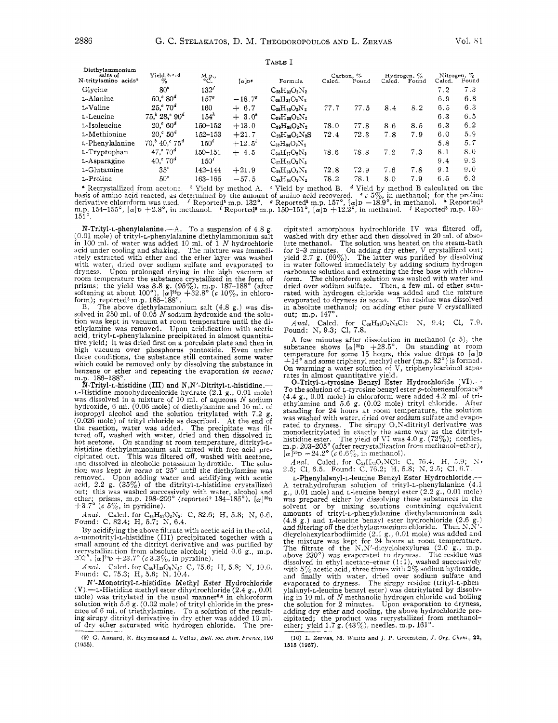| ۰ |  |
|---|--|
|---|--|

| Diethylammonium<br>salts of      | Yield, b, c, d                  |                             |                 |                       | Carbon, $\%$ |       | Hydrogen, % |       | Nitrogen, $\%$ |       |
|----------------------------------|---------------------------------|-----------------------------|-----------------|-----------------------|--------------|-------|-------------|-------|----------------|-------|
| N-tritylamino acids <sup>4</sup> | $\%$                            | ${}_{\rm ^oC.}^{\rm M.p.,}$ | $\alpha$ of     | Formula               | Calcd.       | Found | Caled.      | Found | Calcd.         | Found |
| Giveine                          | 80 <sup>b</sup>                 | 132 <sup>f</sup>            |                 | $C_{25}H_{20}O_2N_2$  |              |       |             |       | 7.2            | 7.3   |
| L-Alanine                        | $50.580^{4}$                    | $157^{\circ}$               | $-18.7^{\circ}$ | $C_{26}H_{32}O_2N_2$  |              |       |             |       | 6.9            | 6.8   |
| L-Valine                         | $25.5^{\circ} 70^{\circ}$       | 160                         | $+ 6.7$         | $C_{28}H_{36}O_2N_2$  | 77.7         | 77.5  | 8.4         | 8.2   | 6.5            | 6.3   |
| L-Leucine                        | $75b 28c 90d$                   | $154^h$                     | $+3.0^{4}$      | $C_{29}H_{28}O_2N_2$  |              |       |             |       | 6.3            | 6.5   |
| L-Isoleucine                     | $20.^\circ 60^\circ$            | 150-152                     | $+13.0$         | $C_{29}H_{38}O_2N_2$  | 78.0         | 77.8  | 8.6         | 8.5   | 6.3            | 6.2   |
| L-Methionine                     | $20.50^{4}$                     | 152–153                     | $+21.7$         | $C_{28}H_{36}O_2N_2S$ | 72.4         | 72.3  | 7.8         | 7.9   | 6.0            | 5.9   |
| L-Phenylalanine                  | $70.^{\circ}$ 40, $575^{\circ}$ | $150^{\circ}$               | $+12.5^{\circ}$ | $C_{32}H_{26}O_2N_2$  |              |       |             |       | 5.8            | 5.7   |
| L-Tryptophan                     | 47. $^{\circ}$ 70 $^{\circ}$    | $150 - 151$                 | $+4.5$          | $C_{34}H_{37}O_2N_3$  | 78.6         | 78.8  | 7.2         | 7.3   | 8.1            | 8.0   |
| L-Asparagine                     | $40.^{\circ}70^{\circ}$         | 150'                        |                 | $C_{27}H_{33}O_3N_3$  |              |       |             |       | 9.4            | 9.2   |
| L-Glutamine                      | $35^{\circ}$                    | 142-144                     | $+21.9$         | $C_{28}H_{35}O_3N_3$  | 72.8         | 72.9  | 7.6         | 7.8   | 9.1            | 9.0   |
| L-Proline                        | $50^\circ$                      | 163-165                     | $-57.5$         | $C_{28}H_{34}O_2N_2$  | 78.2         | 78.1  | 8.0         | 7.9   | 6.5            | 6.3   |
|                                  |                                 |                             |                 |                       |              |       |             |       |                |       |

<sup>a</sup> Recrystallized from acetone. <sup>b</sup> Yield by method A. <sup>e</sup> Yield by method B. <sup>d</sup> Yield by method B calculated on the basis of amino acid reacted, as determined by the amount of amino acid recovered. <sup>e</sup> c 5%, in methano

N-Trityl-L-phenylalanine.--A. To a suspension of 4.8 g. (0.01 mole) of trityl-L-phenylalanine diethylammonium salt in 100 ml. of water was added 10 ml. of 1 N hydrochloric and under cooling and shaking. The mixture was immediately extracted with ether and the ether layer was washed with water, dried over sodium sulfate and evaporated to dryness. Upon prolonged drying in the high vacuum at tryings. Com proming in the fight and the form of<br>prisms; the yield was 3.8 g. (95%), m.p. 187-188° (after<br>softening at about 100°), [ $\alpha$ ]<sup>36</sup>D +32.8° (*c* 10%, in chloro-<br>form); reported<sup>5</sup> m.p. 185-188°.<br>B. The above d

B. The above distinguishmonium sair (4.8 g.) was us-<br>solved in 250 ml. of 0.05 N sodium hydroxide and the solu-<br>tion was kept in vacuum at room temperature until the di-<br>ethylamine was removed. Upon acidification with acet tive yield; it was dried first on a porcelain plate and then in<br>high vacuum over phosphorus pentoxide. Even under<br>these conditions, the substance still contained some water which could be removed only by dissolving the substance in benzene or ether and repeating the evaporation in vacuo; m.p. 186–188°.<br>
N-Trityl-L-histidine (III) and N,N'-Ditrityl-L-histidine.

L-Histidine monohydrochloride hydrate (2.1 g., 0.01 mole) was dissolved in a mixture of 10 ml. of aqueous  $N$  sodium hydroxide, 6 ml. (0.06 mole) of diethylamine and 16 ml. of isopropyl alcohol and the solution tritylated with 7.2 g. (0.026 mole) of trityl chloride as described. At the end of the reaction, water was added. The precipitate was filtered off, washed with water, dried and then dissolved in hot acetone. On standing at room temperature, ditrityl-Lhistidine diethylammonium salt mixed with free acid precipitated out. This was filtered off, washed with acetone, and dissolved in alcoholic potassium hydroxide. The solution was kept in vacuo at 25° until the diethylamine was removed. Upon adding water and acidifying with acetic acid, 2.2 g.  $(35\%)$  of the ditrityl-L-histidine crystallized out; this was washed successively with water, alcohol and ether; prisms, m.p. 198-200° (reported<sup>9</sup> 184-185°), [ $\alpha$ ]<sup>20</sup>D<br>+3.7° (*c* 5%, in pyridine).

Anal. Calcd. for C<sub>4</sub>H<sub>37</sub>O<sub>2</sub>N<sub>3</sub>: C, 82.6; H, 5.8; N, 6.6.<br>Found: C, 82.4; H, 5.7; N, 6.4.

By acidifying the above filtrate with acetic acid in the cold, a-monotrityl-L-histidine (III) precipitated together with a small amount of the ditrityl derivative and was purified by recrystallization from absolute alcohol; yield 0.6 g., m.p.  $202^{\circ}$ , [ $\alpha$ ]<sup>20</sup>D + 23.7° (*c* 3.3%, in pyridine).

Anal. Caled. for C<sub>28</sub>H<sub>23</sub>O<sub>2</sub>N<sub>3</sub>: C, 75.6; H, 5.8; N, 10.6.<br>Found: C, 75.3; H, 5.6; N, 10.4.

N'-Monotrityl-L-histidine Methyl Ester Hydrochloride (V).—L-Histidine methyl ester dihydrochloride  $(2.4 g., 0.01$ <br>mole) was tritylated in the usual manner<sup>5,6</sup> in chloroform solution with 5.6 g.  $(0.02 \text{ mole})$  of trityl chloride in the pres-<br>ence of 6 ml, of triethylamine. To a solution of the resultthe ote of the interval derivative in dry ether was added 10 ml.<br>Ing sirupy ditrityl derivative in dry ether was added 10 ml.

(9) G. Amiard, R. Heymes and L. Velluz, Bull, soc. chim. France, 190  $(1955).$ 

cipitated amorphous hydrochloride IV was filtered off, washed with dry ether and then dissolved in 20 ml. of absolute methanol. The solution was heated on the steam-bath for 2-3 minutes. On adding dry ether, V crystallized out;<br>yield 2.7 g.  $(60\%)$ . The latter was purified by dissolving<br>in water followed immediately by adding sodium hydrogen carbonate solution and extracting the free base with chloroform. The chloroform solution was washed with water and orientation is the control of the saturated with properties over social sufface. Then, a few ml. of ether saturated with hydrogen chloride was added and the mixture evaporated to dryness in vacuo. The residue was dissolved out; m.p. 147°.

Anal. Calcd. for  $C_{26}H_{26}O_2N_8Cl$ : N, 9.4; Cl, 7.9.<br>Found: N, 9.3; Cl, 7.8.

A few minutes after dissolution in methanol  $(c 5)$ , the substance shows  $[\alpha]^{20}D + 28.5^{\circ}$ . On standing at room<br>temperature for some 15 hours, this value drops to  $[\alpha]D + 14^{\circ}$  and some triphenyl methyl ether (m.p. 82°) is formed. On warming a water solution of V, triphenylcarbinol separates in almost quantitative yield.

O-Trityl-L-tyrosine Benzyl Ester Hydrochloride (VI) .-To the solution of  $t$ -tyrosine benzyl ester  $p$ -toluenesulfonate<sup>10</sup> (4.4 g., 0.01 mole) in chloroform were added 4.2 ml. of tri- $(3.7.7 \text{ s})$ , over more and 5.6 g. (0.02 mole) trityl chloride. After<br>standing for 24 hours at room temperature, the solution was washed with water, dried over sodium sulfate and evapowas washed what water, aried over soquim suitate and evaporated to dryness. The simply O,N-ditrityl derivative was monodetritylated in exactly the same way as the ditrityl-<br>histidine ester. The yield of VI was 4.0 g. (72%

Anal. Calcd. for  $C_{33}H_{32}O_3NCl$ : C, 76.4; H, 5.9; N, 2.5; Cl, 6.5. Found: C, 76.2; H, 5.8; N, 2.5; Cl, 6.7.

L-Phenylalanyl-L-leucine Benzyl Ester Hydrochloride.-A tetrahydrofuran solution of trityl-L-phenylalanine (4.1  $g_{\cdot}$ , 0.01 mole) and *L*-leucine benzyl ester  $(2.2 g_{\cdot}$ , 0.01 mole) was prepared either by dissolving these substances in the solvent or by mixing solutions containing equivalent<br>amounts of trityl-L-phenylalanine diethylammonium salt amounts of they-be-pinchylamine declared that all the details and filtering off the dethylammonium chloride. Then N,N'-<br>and filtering off the diethylammonium chloride. Then N,N'-<br>dicyclohexylcarbodiimide (2.1 g., 0.01 mol above 230°) was evaporated to dryness. The residue was<br>dissolved in ethyl acetate-ether (1:1), washed successively<br>with  $5\%$  acetic acid, three times with  $2\%$  sodium hydroxide, and finally with water, dried over sodium sulfate and<br>evaporated to dryness. The sirupy residue (trityl-L-phenevaporated to dryness. The sirupy residue (trityl-L-phen-<br>ylalanyl-L-leucine benzyl ester) was detritylated by dissolving in 10 ml. of  $N$  methanolic hydrogen chloride and boiling the solution for 2 minutes. Upon evaporation to dryness, adding dry ether and cooling, the above hydrochloride precipitated; the product was recrystallized from methanolether; yield  $1.7 g. (43\%)$ , needles, m.p.  $161^\circ$ .

(10) L. Zervas, M. Winitz and J. P. Greenstein, J. Org. Chem., 22, 1515 (1957).